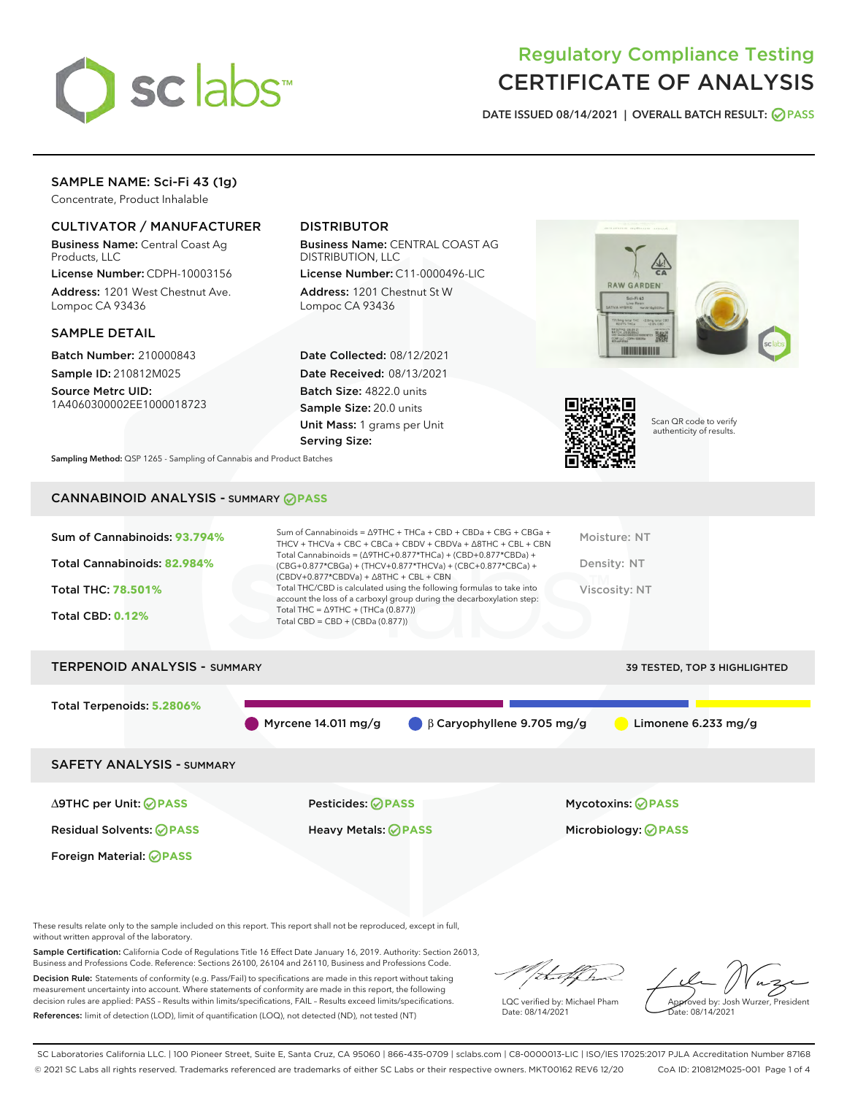

# Regulatory Compliance Testing CERTIFICATE OF ANALYSIS

DATE ISSUED 08/14/2021 | OVERALL BATCH RESULT: @ PASS

# SAMPLE NAME: Sci-Fi 43 (1g)

Concentrate, Product Inhalable

# CULTIVATOR / MANUFACTURER

Business Name: Central Coast Ag Products, LLC

License Number: CDPH-10003156 Address: 1201 West Chestnut Ave. Lompoc CA 93436

#### SAMPLE DETAIL

Batch Number: 210000843 Sample ID: 210812M025

Source Metrc UID: 1A4060300002EE1000018723

# DISTRIBUTOR

Business Name: CENTRAL COAST AG DISTRIBUTION, LLC

License Number: C11-0000496-LIC Address: 1201 Chestnut St W Lompoc CA 93436

Date Collected: 08/12/2021 Date Received: 08/13/2021 Batch Size: 4822.0 units Sample Size: 20.0 units Unit Mass: 1 grams per Unit Serving Size:





Scan QR code to verify authenticity of results.

Sampling Method: QSP 1265 - Sampling of Cannabis and Product Batches

# CANNABINOID ANALYSIS - SUMMARY **PASS**

| Sum of Cannabinoids: 93.794% | Sum of Cannabinoids = ∆9THC + THCa + CBD + CBDa + CBG + CBGa +<br>THCV + THCVa + CBC + CBCa + CBDV + CBDVa + $\Delta$ 8THC + CBL + CBN                                               | Moisture: NT  |
|------------------------------|--------------------------------------------------------------------------------------------------------------------------------------------------------------------------------------|---------------|
| Total Cannabinoids: 82.984%  | Total Cannabinoids = $(\Delta$ 9THC+0.877*THCa) + (CBD+0.877*CBDa) +<br>(CBG+0.877*CBGa) + (THCV+0.877*THCVa) + (CBC+0.877*CBCa) +<br>$(CBDV+0.877*CBDVa) + \Delta 8THC + CBL + CBN$ | Density: NT   |
| <b>Total THC: 78.501%</b>    | Total THC/CBD is calculated using the following formulas to take into<br>account the loss of a carboxyl group during the decarboxylation step:                                       | Viscosity: NT |
| <b>Total CBD: 0.12%</b>      | Total THC = $\triangle$ 9THC + (THCa (0.877))<br>Total CBD = $CBD + (CBDa (0.877))$                                                                                                  |               |
|                              |                                                                                                                                                                                      |               |

# TERPENOID ANALYSIS - SUMMARY 39 TESTED, TOP 3 HIGHLIGHTED Total Terpenoids: **5.2806%** Myrcene 14.011 mg/g  $\bigcirc$  β Caryophyllene 9.705 mg/g  $\bigcirc$  Limonene 6.233 mg/g SAFETY ANALYSIS - SUMMARY ∆9THC per Unit: **PASS** Pesticides: **PASS** Mycotoxins: **PASS**

Foreign Material: **PASS**

Residual Solvents: **PASS** Heavy Metals: **PASS** Microbiology: **PASS**

These results relate only to the sample included on this report. This report shall not be reproduced, except in full, without written approval of the laboratory.

Sample Certification: California Code of Regulations Title 16 Effect Date January 16, 2019. Authority: Section 26013, Business and Professions Code. Reference: Sections 26100, 26104 and 26110, Business and Professions Code.

Decision Rule: Statements of conformity (e.g. Pass/Fail) to specifications are made in this report without taking measurement uncertainty into account. Where statements of conformity are made in this report, the following decision rules are applied: PASS – Results within limits/specifications, FAIL – Results exceed limits/specifications. References: limit of detection (LOD), limit of quantification (LOQ), not detected (ND), not tested (NT)

that f

LQC verified by: Michael Pham Date: 08/14/2021

Approved by: Josh Wurzer, President ate: 08/14/2021

SC Laboratories California LLC. | 100 Pioneer Street, Suite E, Santa Cruz, CA 95060 | 866-435-0709 | sclabs.com | C8-0000013-LIC | ISO/IES 17025:2017 PJLA Accreditation Number 87168 © 2021 SC Labs all rights reserved. Trademarks referenced are trademarks of either SC Labs or their respective owners. MKT00162 REV6 12/20 CoA ID: 210812M025-001 Page 1 of 4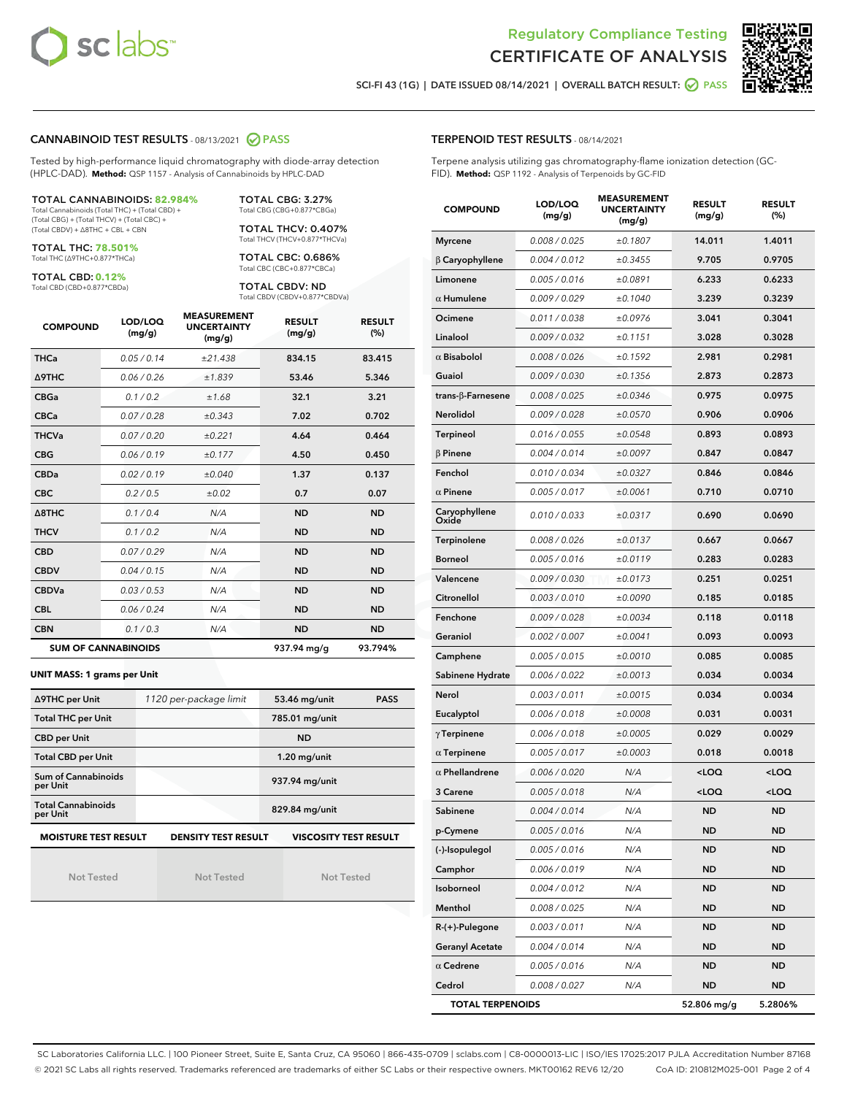



SCI-FI 43 (1G) | DATE ISSUED 08/14/2021 | OVERALL BATCH RESULT: 0 PASS

#### CANNABINOID TEST RESULTS - 08/13/2021 2 PASS

Tested by high-performance liquid chromatography with diode-array detection (HPLC-DAD). **Method:** QSP 1157 - Analysis of Cannabinoids by HPLC-DAD

TOTAL CANNABINOIDS: **82.984%** Total Cannabinoids (Total THC) + (Total CBD) +

(Total CBG) + (Total THCV) + (Total CBC) + (Total CBDV) + ∆8THC + CBL + CBN

TOTAL THC: **78.501%** Total THC (∆9THC+0.877\*THCa)

TOTAL CBD: **0.12%**

Total CBD (CBD+0.877\*CBDa)

TOTAL CBG: 3.27% Total CBG (CBG+0.877\*CBGa)

TOTAL THCV: 0.407% Total THCV (THCV+0.877\*THCVa)

TOTAL CBC: 0.686% Total CBC (CBC+0.877\*CBCa)

TOTAL CBDV: ND Total CBDV (CBDV+0.877\*CBDVa)

| <b>COMPOUND</b>  | LOD/LOQ<br>(mg/g)          | <b>MEASUREMENT</b><br><b>UNCERTAINTY</b><br>(mg/g) | <b>RESULT</b><br>(mg/g) | <b>RESULT</b><br>(%) |
|------------------|----------------------------|----------------------------------------------------|-------------------------|----------------------|
| <b>THCa</b>      | 0.05/0.14                  | ±21.438                                            | 834.15                  | 83.415               |
| <b>A9THC</b>     | 0.06 / 0.26                | ±1.839                                             | 53.46                   | 5.346                |
| <b>CBGa</b>      | 0.1/0.2                    | ±1.68                                              | 32.1                    | 3.21                 |
| <b>CBCa</b>      | 0.07 / 0.28                | ±0.343                                             | 7.02                    | 0.702                |
| <b>THCVa</b>     | 0.07/0.20                  | ±0.221                                             | 4.64                    | 0.464                |
| <b>CBG</b>       | 0.06/0.19                  | ±0.177                                             | 4.50                    | 0.450                |
| <b>CBDa</b>      | 0.02/0.19                  | ±0.040                                             | 1.37                    | 0.137                |
| <b>CBC</b>       | 0.2 / 0.5                  | ±0.02                                              | 0.7                     | 0.07                 |
| $\triangle$ 8THC | 0.1/0.4                    | N/A                                                | <b>ND</b>               | <b>ND</b>            |
| <b>THCV</b>      | 0.1/0.2                    | N/A                                                | <b>ND</b>               | <b>ND</b>            |
| <b>CBD</b>       | 0.07/0.29                  | N/A                                                | <b>ND</b>               | <b>ND</b>            |
| <b>CBDV</b>      | 0.04 / 0.15                | N/A                                                | <b>ND</b>               | <b>ND</b>            |
| <b>CBDVa</b>     | 0.03/0.53                  | N/A                                                | <b>ND</b>               | <b>ND</b>            |
| <b>CBL</b>       | 0.06 / 0.24                | N/A                                                | <b>ND</b>               | <b>ND</b>            |
| <b>CBN</b>       | 0.1/0.3                    | N/A                                                | <b>ND</b>               | <b>ND</b>            |
|                  | <b>SUM OF CANNABINOIDS</b> |                                                    | 937.94 ma/a             | 93.794%              |

**UNIT MASS: 1 grams per Unit**

| ∆9THC per Unit                                                                            | 1120 per-package limit | 53.46 mg/unit<br><b>PASS</b> |  |  |  |  |
|-------------------------------------------------------------------------------------------|------------------------|------------------------------|--|--|--|--|
| <b>Total THC per Unit</b>                                                                 |                        | 785.01 mg/unit               |  |  |  |  |
| <b>CBD per Unit</b>                                                                       |                        | <b>ND</b>                    |  |  |  |  |
| <b>Total CBD per Unit</b>                                                                 |                        | $1.20$ mg/unit               |  |  |  |  |
| Sum of Cannabinoids<br>per Unit                                                           |                        | 937.94 mg/unit               |  |  |  |  |
| <b>Total Cannabinoids</b><br>per Unit                                                     |                        | 829.84 mg/unit               |  |  |  |  |
| <b>MOISTURE TEST RESULT</b><br><b>DENSITY TEST RESULT</b><br><b>VISCOSITY TEST RESULT</b> |                        |                              |  |  |  |  |

Not Tested

Not Tested

Not Tested

### TERPENOID TEST RESULTS - 08/14/2021

Terpene analysis utilizing gas chromatography-flame ionization detection (GC-FID). **Method:** QSP 1192 - Analysis of Terpenoids by GC-FID

| <b>COMPOUND</b>         | LOD/LOQ<br>(mg/g)    | <b>MEASUREMENT</b><br><b>UNCERTAINTY</b><br>(mg/g) | <b>RESULT</b><br>(mg/g)                         | <b>RESULT</b><br>(%) |
|-------------------------|----------------------|----------------------------------------------------|-------------------------------------------------|----------------------|
| <b>Myrcene</b>          | 0.008 / 0.025        | ±0.1807                                            | 14.011                                          | 1.4011               |
| $\beta$ Caryophyllene   | 0.004 / 0.012        | ±0.3455                                            | 9.705                                           | 0.9705               |
| Limonene                | 0.005 / 0.016        | ±0.0891                                            | 6.233                                           | 0.6233               |
| $\alpha$ Humulene       | 0.009 / 0.029        | ±0.1040                                            | 3.239                                           | 0.3239               |
| Ocimene                 | 0.011/0.038          | ±0.0976                                            | 3.041                                           | 0.3041               |
| Linalool                | 0.009 / 0.032        | ±0.1151                                            | 3.028                                           | 0.3028               |
| $\alpha$ Bisabolol      | 0.008 / 0.026        | ±0.1592                                            | 2.981                                           | 0.2981               |
| Guaiol                  | <i>0.009 / 0.030</i> | ±0.1356                                            | 2.873                                           | 0.2873               |
| trans-ß-Farnesene       | 0.008 / 0.025        | ±0.0346                                            | 0.975                                           | 0.0975               |
| Nerolidol               | 0.009 / 0.028        | ±0.0570                                            | 0.906                                           | 0.0906               |
| <b>Terpineol</b>        | 0.016 / 0.055        | ±0.0548                                            | 0.893                                           | 0.0893               |
| $\beta$ Pinene          | 0.004 / 0.014        | ±0.0097                                            | 0.847                                           | 0.0847               |
| Fenchol                 | 0.010 / 0.034        | ±0.0327                                            | 0.846                                           | 0.0846               |
| $\alpha$ Pinene         | 0.005 / 0.017        | ±0.0061                                            | 0.710                                           | 0.0710               |
| Caryophyllene<br>Oxide  | 0.010 / 0.033        | ±0.0317                                            | 0.690                                           | 0.0690               |
| Terpinolene             | 0.008 / 0.026        | ±0.0137                                            | 0.667                                           | 0.0667               |
| <b>Borneol</b>          | 0.005 / 0.016        | ±0.0119                                            | 0.283                                           | 0.0283               |
| Valencene               | 0.009 / 0.030        | ±0.0173                                            | 0.251                                           | 0.0251               |
| Citronellol             | 0.003 / 0.010        | ±0.0090                                            | 0.185                                           | 0.0185               |
| Fenchone                | 0.009 / 0.028        | ±0.0034                                            | 0.118                                           | 0.0118               |
| Geraniol                | 0.002 / 0.007        | ±0.0041                                            | 0.093                                           | 0.0093               |
| Camphene                | 0.005 / 0.015        | ±0.0010                                            | 0.085                                           | 0.0085               |
| Sabinene Hydrate        | 0.006 / 0.022        | ±0.0013                                            | 0.034                                           | 0.0034               |
| Nerol                   | 0.003 / 0.011        | ±0.0015                                            | 0.034                                           | 0.0034               |
| Eucalyptol              | 0.006 / 0.018        | ±0.0008                                            | 0.031                                           | 0.0031               |
| $\gamma$ Terpinene      | 0.006 / 0.018        | ±0.0005                                            | 0.029                                           | 0.0029               |
| $\alpha$ Terpinene      | 0.005 / 0.017        | ±0.0003                                            | 0.018                                           | 0.0018               |
| $\alpha$ Phellandrene   | 0.006 / 0.020        | N/A                                                | <loq< th=""><th><loq< th=""></loq<></th></loq<> | <loq< th=""></loq<>  |
| 3 Carene                | 0.005 / 0.018        | N/A                                                | <loq< th=""><th><loq< th=""></loq<></th></loq<> | <loq< th=""></loq<>  |
| Sabinene                | 0.004 / 0.014        | N/A                                                | <b>ND</b>                                       | ND                   |
| p-Cymene                | 0.005 / 0.016        | N/A                                                | ND                                              | ND                   |
| (-)-Isopulegol          | 0.005 / 0.016        | N/A                                                | ND                                              | ND                   |
| Camphor                 | 0.006 / 0.019        | N/A                                                | ND                                              | ND                   |
| Isoborneol              | 0.004 / 0.012        | N/A                                                | ND                                              | ND                   |
| Menthol                 | 0.008 / 0.025        | N/A                                                | ND                                              | ND                   |
| $R-(+)$ -Pulegone       | 0.003 / 0.011        | N/A                                                | ND                                              | ND                   |
| <b>Geranyl Acetate</b>  | 0.004 / 0.014        | N/A                                                | ND                                              | ND                   |
| $\alpha$ Cedrene        | 0.005 / 0.016        | N/A                                                | ND                                              | ND                   |
| Cedrol                  | 0.008 / 0.027        | N/A                                                | ND                                              | ND                   |
| <b>TOTAL TERPENOIDS</b> |                      |                                                    | 52.806 mg/g                                     | 5.2806%              |

SC Laboratories California LLC. | 100 Pioneer Street, Suite E, Santa Cruz, CA 95060 | 866-435-0709 | sclabs.com | C8-0000013-LIC | ISO/IES 17025:2017 PJLA Accreditation Number 87168 © 2021 SC Labs all rights reserved. Trademarks referenced are trademarks of either SC Labs or their respective owners. MKT00162 REV6 12/20 CoA ID: 210812M025-001 Page 2 of 4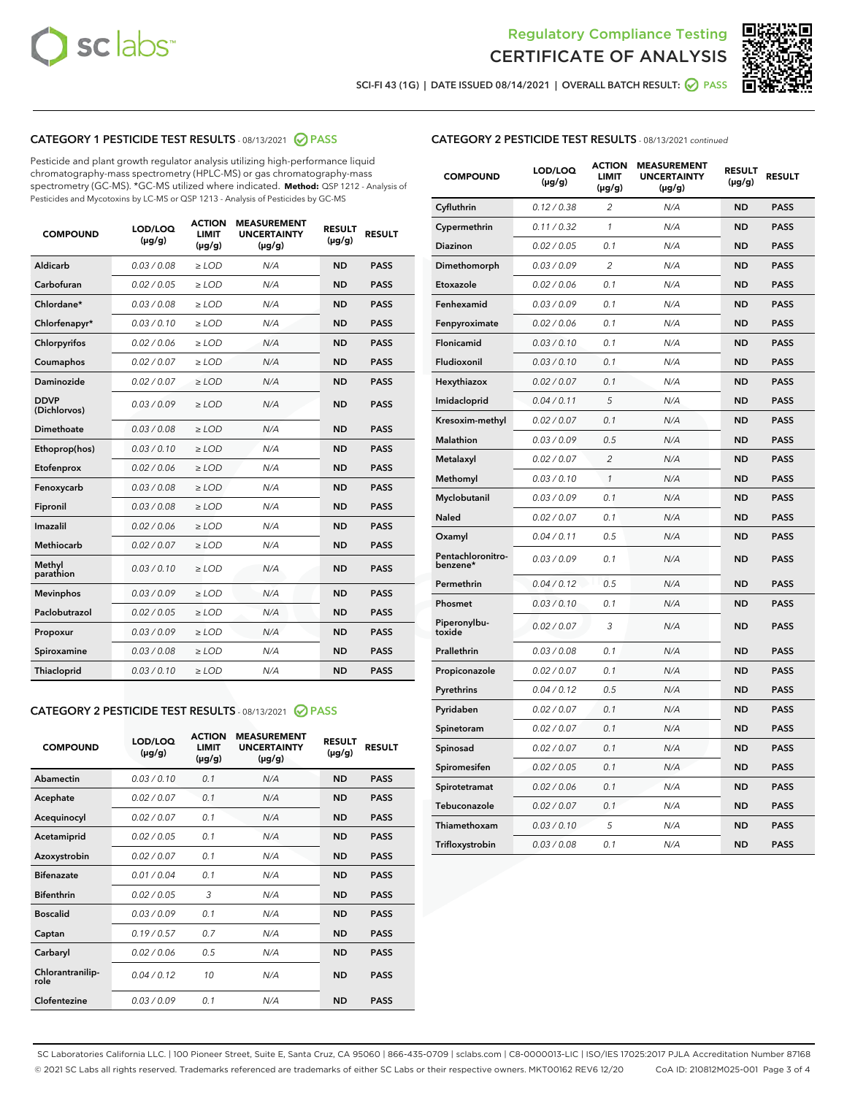



SCI-FI 43 (1G) | DATE ISSUED 08/14/2021 | OVERALL BATCH RESULT:  $\bigcirc$  PASS

# CATEGORY 1 PESTICIDE TEST RESULTS - 08/13/2021 2 PASS

Pesticide and plant growth regulator analysis utilizing high-performance liquid chromatography-mass spectrometry (HPLC-MS) or gas chromatography-mass spectrometry (GC-MS). \*GC-MS utilized where indicated. **Method:** QSP 1212 - Analysis of Pesticides and Mycotoxins by LC-MS or QSP 1213 - Analysis of Pesticides by GC-MS

| Aldicarb<br>0.03 / 0.08<br><b>ND</b><br>$\ge$ LOD<br>N/A<br><b>PASS</b><br>Carbofuran<br>0.02/0.05<br>N/A<br><b>ND</b><br><b>PASS</b><br>$\ge$ LOD<br>Chlordane*<br>0.03 / 0.08<br><b>ND</b><br><b>PASS</b><br>$\ge$ LOD<br>N/A<br>0.03/0.10<br><b>ND</b><br><b>PASS</b><br>Chlorfenapyr*<br>$\ge$ LOD<br>N/A<br>Chlorpyrifos<br>0.02 / 0.06<br>N/A<br><b>ND</b><br><b>PASS</b><br>$\ge$ LOD<br>0.02 / 0.07<br>N/A<br><b>ND</b><br><b>PASS</b><br>Coumaphos<br>$>$ LOD<br><b>ND</b><br><b>PASS</b><br>Daminozide<br>0.02 / 0.07<br>$\ge$ LOD<br>N/A<br><b>DDVP</b><br>0.03/0.09<br>$\ge$ LOD<br>N/A<br><b>ND</b><br><b>PASS</b><br>(Dichlorvos)<br>Dimethoate<br><b>ND</b><br><b>PASS</b><br>0.03/0.08<br>$>$ LOD<br>N/A<br>Ethoprop(hos)<br>0.03/0.10<br>$\ge$ LOD<br>N/A<br><b>ND</b><br><b>PASS</b><br>0.02 / 0.06<br>$\ge$ LOD<br>N/A<br><b>ND</b><br><b>PASS</b><br>Etofenprox<br>Fenoxycarb<br>0.03/0.08<br>$>$ LOD<br>N/A<br><b>ND</b><br><b>PASS</b><br>0.03/0.08<br><b>ND</b><br><b>PASS</b><br>Fipronil<br>$\ge$ LOD<br>N/A<br>Imazalil<br>0.02 / 0.06<br>$>$ LOD<br>N/A<br><b>ND</b><br><b>PASS</b><br>Methiocarb<br>0.02 / 0.07<br>N/A<br><b>ND</b><br><b>PASS</b><br>$\ge$ LOD<br>Methyl<br>0.03/0.10<br>$\ge$ LOD<br>N/A<br><b>ND</b><br><b>PASS</b><br>parathion<br>0.03/0.09<br>$\ge$ LOD<br>N/A<br><b>ND</b><br><b>PASS</b><br><b>Mevinphos</b><br>Paclobutrazol<br>0.02 / 0.05<br>$\ge$ LOD<br>N/A<br><b>ND</b><br><b>PASS</b><br>0.03/0.09<br>N/A<br>$\ge$ LOD<br><b>ND</b><br><b>PASS</b><br>Propoxur<br>0.03/0.08<br><b>ND</b><br><b>PASS</b><br>Spiroxamine<br>$\ge$ LOD<br>N/A<br><b>PASS</b><br>Thiacloprid<br>0.03/0.10<br>$\ge$ LOD<br>N/A<br><b>ND</b> | <b>COMPOUND</b> | LOD/LOQ<br>$(\mu g/g)$ | <b>ACTION</b><br><b>LIMIT</b><br>$(\mu g/g)$ | <b>MEASUREMENT</b><br><b>UNCERTAINTY</b><br>$(\mu g/g)$ | <b>RESULT</b><br>$(\mu g/g)$ | <b>RESULT</b> |
|-----------------------------------------------------------------------------------------------------------------------------------------------------------------------------------------------------------------------------------------------------------------------------------------------------------------------------------------------------------------------------------------------------------------------------------------------------------------------------------------------------------------------------------------------------------------------------------------------------------------------------------------------------------------------------------------------------------------------------------------------------------------------------------------------------------------------------------------------------------------------------------------------------------------------------------------------------------------------------------------------------------------------------------------------------------------------------------------------------------------------------------------------------------------------------------------------------------------------------------------------------------------------------------------------------------------------------------------------------------------------------------------------------------------------------------------------------------------------------------------------------------------------------------------------------------------------------------------------------------------------------------------------------------------------------------|-----------------|------------------------|----------------------------------------------|---------------------------------------------------------|------------------------------|---------------|
|                                                                                                                                                                                                                                                                                                                                                                                                                                                                                                                                                                                                                                                                                                                                                                                                                                                                                                                                                                                                                                                                                                                                                                                                                                                                                                                                                                                                                                                                                                                                                                                                                                                                                   |                 |                        |                                              |                                                         |                              |               |
|                                                                                                                                                                                                                                                                                                                                                                                                                                                                                                                                                                                                                                                                                                                                                                                                                                                                                                                                                                                                                                                                                                                                                                                                                                                                                                                                                                                                                                                                                                                                                                                                                                                                                   |                 |                        |                                              |                                                         |                              |               |
|                                                                                                                                                                                                                                                                                                                                                                                                                                                                                                                                                                                                                                                                                                                                                                                                                                                                                                                                                                                                                                                                                                                                                                                                                                                                                                                                                                                                                                                                                                                                                                                                                                                                                   |                 |                        |                                              |                                                         |                              |               |
|                                                                                                                                                                                                                                                                                                                                                                                                                                                                                                                                                                                                                                                                                                                                                                                                                                                                                                                                                                                                                                                                                                                                                                                                                                                                                                                                                                                                                                                                                                                                                                                                                                                                                   |                 |                        |                                              |                                                         |                              |               |
|                                                                                                                                                                                                                                                                                                                                                                                                                                                                                                                                                                                                                                                                                                                                                                                                                                                                                                                                                                                                                                                                                                                                                                                                                                                                                                                                                                                                                                                                                                                                                                                                                                                                                   |                 |                        |                                              |                                                         |                              |               |
|                                                                                                                                                                                                                                                                                                                                                                                                                                                                                                                                                                                                                                                                                                                                                                                                                                                                                                                                                                                                                                                                                                                                                                                                                                                                                                                                                                                                                                                                                                                                                                                                                                                                                   |                 |                        |                                              |                                                         |                              |               |
|                                                                                                                                                                                                                                                                                                                                                                                                                                                                                                                                                                                                                                                                                                                                                                                                                                                                                                                                                                                                                                                                                                                                                                                                                                                                                                                                                                                                                                                                                                                                                                                                                                                                                   |                 |                        |                                              |                                                         |                              |               |
|                                                                                                                                                                                                                                                                                                                                                                                                                                                                                                                                                                                                                                                                                                                                                                                                                                                                                                                                                                                                                                                                                                                                                                                                                                                                                                                                                                                                                                                                                                                                                                                                                                                                                   |                 |                        |                                              |                                                         |                              |               |
|                                                                                                                                                                                                                                                                                                                                                                                                                                                                                                                                                                                                                                                                                                                                                                                                                                                                                                                                                                                                                                                                                                                                                                                                                                                                                                                                                                                                                                                                                                                                                                                                                                                                                   |                 |                        |                                              |                                                         |                              |               |
|                                                                                                                                                                                                                                                                                                                                                                                                                                                                                                                                                                                                                                                                                                                                                                                                                                                                                                                                                                                                                                                                                                                                                                                                                                                                                                                                                                                                                                                                                                                                                                                                                                                                                   |                 |                        |                                              |                                                         |                              |               |
|                                                                                                                                                                                                                                                                                                                                                                                                                                                                                                                                                                                                                                                                                                                                                                                                                                                                                                                                                                                                                                                                                                                                                                                                                                                                                                                                                                                                                                                                                                                                                                                                                                                                                   |                 |                        |                                              |                                                         |                              |               |
|                                                                                                                                                                                                                                                                                                                                                                                                                                                                                                                                                                                                                                                                                                                                                                                                                                                                                                                                                                                                                                                                                                                                                                                                                                                                                                                                                                                                                                                                                                                                                                                                                                                                                   |                 |                        |                                              |                                                         |                              |               |
|                                                                                                                                                                                                                                                                                                                                                                                                                                                                                                                                                                                                                                                                                                                                                                                                                                                                                                                                                                                                                                                                                                                                                                                                                                                                                                                                                                                                                                                                                                                                                                                                                                                                                   |                 |                        |                                              |                                                         |                              |               |
|                                                                                                                                                                                                                                                                                                                                                                                                                                                                                                                                                                                                                                                                                                                                                                                                                                                                                                                                                                                                                                                                                                                                                                                                                                                                                                                                                                                                                                                                                                                                                                                                                                                                                   |                 |                        |                                              |                                                         |                              |               |
|                                                                                                                                                                                                                                                                                                                                                                                                                                                                                                                                                                                                                                                                                                                                                                                                                                                                                                                                                                                                                                                                                                                                                                                                                                                                                                                                                                                                                                                                                                                                                                                                                                                                                   |                 |                        |                                              |                                                         |                              |               |
|                                                                                                                                                                                                                                                                                                                                                                                                                                                                                                                                                                                                                                                                                                                                                                                                                                                                                                                                                                                                                                                                                                                                                                                                                                                                                                                                                                                                                                                                                                                                                                                                                                                                                   |                 |                        |                                              |                                                         |                              |               |
|                                                                                                                                                                                                                                                                                                                                                                                                                                                                                                                                                                                                                                                                                                                                                                                                                                                                                                                                                                                                                                                                                                                                                                                                                                                                                                                                                                                                                                                                                                                                                                                                                                                                                   |                 |                        |                                              |                                                         |                              |               |
|                                                                                                                                                                                                                                                                                                                                                                                                                                                                                                                                                                                                                                                                                                                                                                                                                                                                                                                                                                                                                                                                                                                                                                                                                                                                                                                                                                                                                                                                                                                                                                                                                                                                                   |                 |                        |                                              |                                                         |                              |               |
|                                                                                                                                                                                                                                                                                                                                                                                                                                                                                                                                                                                                                                                                                                                                                                                                                                                                                                                                                                                                                                                                                                                                                                                                                                                                                                                                                                                                                                                                                                                                                                                                                                                                                   |                 |                        |                                              |                                                         |                              |               |
|                                                                                                                                                                                                                                                                                                                                                                                                                                                                                                                                                                                                                                                                                                                                                                                                                                                                                                                                                                                                                                                                                                                                                                                                                                                                                                                                                                                                                                                                                                                                                                                                                                                                                   |                 |                        |                                              |                                                         |                              |               |
|                                                                                                                                                                                                                                                                                                                                                                                                                                                                                                                                                                                                                                                                                                                                                                                                                                                                                                                                                                                                                                                                                                                                                                                                                                                                                                                                                                                                                                                                                                                                                                                                                                                                                   |                 |                        |                                              |                                                         |                              |               |

#### CATEGORY 2 PESTICIDE TEST RESULTS - 08/13/2021 @ PASS

| <b>COMPOUND</b>          | LOD/LOO<br>$(\mu g/g)$ | <b>ACTION</b><br>LIMIT<br>$(\mu g/g)$ | <b>MEASUREMENT</b><br><b>UNCERTAINTY</b><br>$(\mu g/g)$ | <b>RESULT</b><br>$(\mu g/g)$ | <b>RESULT</b> |  |
|--------------------------|------------------------|---------------------------------------|---------------------------------------------------------|------------------------------|---------------|--|
| Abamectin                | 0.03/0.10              | 0.1                                   | N/A                                                     | <b>ND</b>                    | <b>PASS</b>   |  |
| Acephate                 | 0.02/0.07              | 0.1                                   | N/A                                                     | <b>ND</b>                    | <b>PASS</b>   |  |
| Acequinocyl              | 0.02/0.07              | 0.1                                   | N/A                                                     | <b>ND</b>                    | <b>PASS</b>   |  |
| Acetamiprid              | 0.02 / 0.05            | 0.1                                   | N/A                                                     | <b>ND</b>                    | <b>PASS</b>   |  |
| Azoxystrobin             | 0.02/0.07              | 0.1                                   | N/A                                                     | <b>ND</b>                    | <b>PASS</b>   |  |
| <b>Bifenazate</b>        | 0.01 / 0.04            | 0.1                                   | N/A                                                     | <b>ND</b>                    | <b>PASS</b>   |  |
| <b>Bifenthrin</b>        | 0.02 / 0.05            | 3                                     | N/A                                                     | <b>ND</b>                    | <b>PASS</b>   |  |
| <b>Boscalid</b>          | 0.03/0.09              | 0.1                                   | N/A                                                     | <b>ND</b>                    | <b>PASS</b>   |  |
| Captan                   | 0.19/0.57              | 0.7                                   | N/A                                                     | <b>ND</b>                    | <b>PASS</b>   |  |
| Carbaryl                 | 0.02/0.06              | 0.5                                   | N/A                                                     | <b>ND</b>                    | <b>PASS</b>   |  |
| Chlorantranilip-<br>role | 0.04/0.12              | 10                                    | N/A                                                     | <b>ND</b>                    | <b>PASS</b>   |  |
| Clofentezine             | 0.03/0.09              | 0.1                                   | N/A                                                     | <b>ND</b>                    | <b>PASS</b>   |  |

| <b>CATEGORY 2 PESTICIDE TEST RESULTS</b> - 08/13/2021 continued |  |  |  |  |  |
|-----------------------------------------------------------------|--|--|--|--|--|
|-----------------------------------------------------------------|--|--|--|--|--|

| <b>COMPOUND</b>               | LOD/LOQ<br>(µg/g) | <b>ACTION</b><br>LIMIT<br>$(\mu g/g)$ | <b>MEASUREMENT</b><br><b>UNCERTAINTY</b><br>$(\mu g/g)$ | <b>RESULT</b><br>(µg/g) | <b>RESULT</b> |
|-------------------------------|-------------------|---------------------------------------|---------------------------------------------------------|-------------------------|---------------|
| Cyfluthrin                    | 0.12 / 0.38       | 2                                     | N/A                                                     | <b>ND</b>               | <b>PASS</b>   |
| Cypermethrin                  | 0.11 / 0.32       | $\mathcal{I}$                         | N/A                                                     | <b>ND</b>               | <b>PASS</b>   |
| Diazinon                      | 0.02 / 0.05       | 0.1                                   | N/A                                                     | <b>ND</b>               | <b>PASS</b>   |
| Dimethomorph                  | 0.03 / 0.09       | 2                                     | N/A                                                     | <b>ND</b>               | <b>PASS</b>   |
| Etoxazole                     | 0.02 / 0.06       | 0.1                                   | N/A                                                     | <b>ND</b>               | <b>PASS</b>   |
| Fenhexamid                    | 0.03 / 0.09       | 0.1                                   | N/A                                                     | <b>ND</b>               | <b>PASS</b>   |
| Fenpyroximate                 | 0.02 / 0.06       | 0.1                                   | N/A                                                     | <b>ND</b>               | <b>PASS</b>   |
| Flonicamid                    | 0.03 / 0.10       | 0.1                                   | N/A                                                     | <b>ND</b>               | <b>PASS</b>   |
| Fludioxonil                   | 0.03 / 0.10       | 0.1                                   | N/A                                                     | <b>ND</b>               | <b>PASS</b>   |
| Hexythiazox                   | 0.02 / 0.07       | 0.1                                   | N/A                                                     | <b>ND</b>               | <b>PASS</b>   |
| Imidacloprid                  | 0.04 / 0.11       | 5                                     | N/A                                                     | <b>ND</b>               | <b>PASS</b>   |
| Kresoxim-methyl               | 0.02 / 0.07       | 0.1                                   | N/A                                                     | <b>ND</b>               | <b>PASS</b>   |
| Malathion                     | 0.03 / 0.09       | 0.5                                   | N/A                                                     | <b>ND</b>               | <b>PASS</b>   |
| Metalaxyl                     | 0.02 / 0.07       | $\overline{c}$                        | N/A                                                     | <b>ND</b>               | <b>PASS</b>   |
| Methomyl                      | 0.03 / 0.10       | $\mathcal{I}$                         | N/A                                                     | <b>ND</b>               | <b>PASS</b>   |
| Myclobutanil                  | 0.03 / 0.09       | 0.1                                   | N/A                                                     | <b>ND</b>               | <b>PASS</b>   |
| Naled                         | 0.02 / 0.07       | 0.1                                   | N/A                                                     | <b>ND</b>               | <b>PASS</b>   |
| Oxamyl                        | 0.04 / 0.11       | 0.5                                   | N/A                                                     | <b>ND</b>               | <b>PASS</b>   |
| Pentachloronitro-<br>benzene* | 0.03/0.09         | 0.1                                   | N/A                                                     | <b>ND</b>               | <b>PASS</b>   |
| Permethrin                    | 0.04 / 0.12       | 0.5                                   | N/A                                                     | <b>ND</b>               | <b>PASS</b>   |
| Phosmet                       | 0.03 / 0.10       | 0.1                                   | N/A                                                     | <b>ND</b>               | <b>PASS</b>   |
| Piperonylbu-<br>toxide        | 0.02 / 0.07       | 3                                     | N/A                                                     | <b>ND</b>               | <b>PASS</b>   |
| Prallethrin                   | 0.03 / 0.08       | 0.1                                   | N/A                                                     | <b>ND</b>               | <b>PASS</b>   |
| Propiconazole                 | 0.02 / 0.07       | 0.1                                   | N/A                                                     | <b>ND</b>               | <b>PASS</b>   |
| Pyrethrins                    | 0.04 / 0.12       | 0.5                                   | N/A                                                     | <b>ND</b>               | <b>PASS</b>   |
| Pyridaben                     | 0.02 / 0.07       | 0.1                                   | N/A                                                     | <b>ND</b>               | <b>PASS</b>   |
| Spinetoram                    | 0.02 / 0.07       | 0.1                                   | N/A                                                     | <b>ND</b>               | <b>PASS</b>   |
| Spinosad                      | 0.02 / 0.07       | 0.1                                   | N/A                                                     | <b>ND</b>               | <b>PASS</b>   |
| Spiromesifen                  | 0.02 / 0.05       | 0.1                                   | N/A                                                     | <b>ND</b>               | <b>PASS</b>   |
| Spirotetramat                 | 0.02 / 0.06       | 0.1                                   | N/A                                                     | <b>ND</b>               | <b>PASS</b>   |
| Tebuconazole                  | 0.02 / 0.07       | 0.1                                   | N/A                                                     | <b>ND</b>               | <b>PASS</b>   |
| Thiamethoxam                  | 0.03 / 0.10       | 5                                     | N/A                                                     | <b>ND</b>               | <b>PASS</b>   |
| Trifloxystrobin               | 0.03 / 0.08       | 0.1                                   | N/A                                                     | <b>ND</b>               | <b>PASS</b>   |

SC Laboratories California LLC. | 100 Pioneer Street, Suite E, Santa Cruz, CA 95060 | 866-435-0709 | sclabs.com | C8-0000013-LIC | ISO/IES 17025:2017 PJLA Accreditation Number 87168 © 2021 SC Labs all rights reserved. Trademarks referenced are trademarks of either SC Labs or their respective owners. MKT00162 REV6 12/20 CoA ID: 210812M025-001 Page 3 of 4